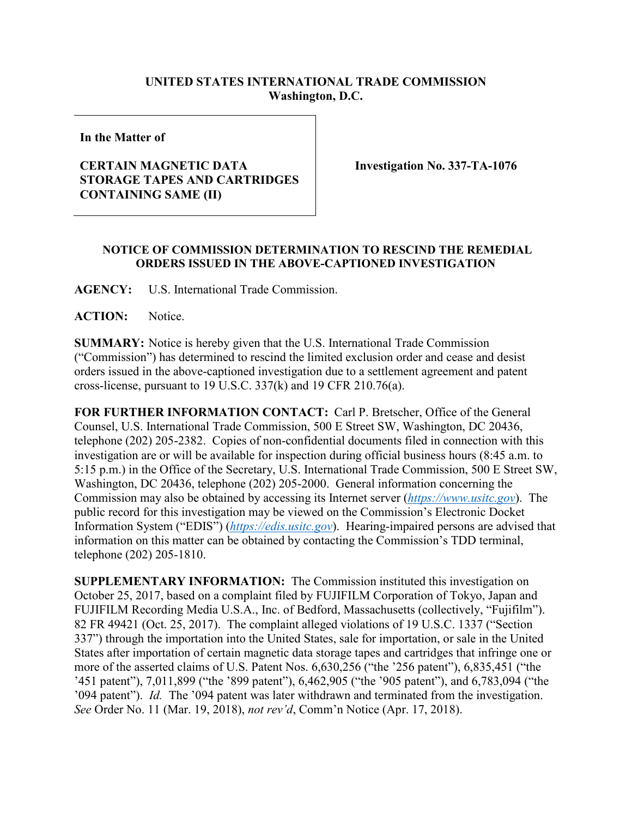## **UNITED STATES INTERNATIONAL TRADE COMMISSION Washington, D.C.**

**In the Matter of**

## **CERTAIN MAGNETIC DATA STORAGE TAPES AND CARTRIDGES CONTAINING SAME (II)**

**Investigation No. 337-TA-1076**

## **NOTICE OF COMMISSION DETERMINATION TO RESCIND THE REMEDIAL ORDERS ISSUED IN THE ABOVE-CAPTIONED INVESTIGATION**

**AGENCY:** U.S. International Trade Commission.

**ACTION:** Notice.

**SUMMARY:** Notice is hereby given that the U.S. International Trade Commission ("Commission") has determined to rescind the limited exclusion order and cease and desist orders issued in the above-captioned investigation due to a settlement agreement and patent cross-license, pursuant to 19 U.S.C. 337(k) and 19 CFR 210.76(a).

**FOR FURTHER INFORMATION CONTACT:** Carl P. Bretscher, Office of the General Counsel, U.S. International Trade Commission, 500 E Street SW, Washington, DC 20436, telephone (202) 205-2382. Copies of non-confidential documents filed in connection with this investigation are or will be available for inspection during official business hours (8:45 a.m. to 5:15 p.m.) in the Office of the Secretary, U.S. International Trade Commission, 500 E Street SW, Washington, DC 20436, telephone (202) 205-2000. General information concerning the Commission may also be obtained by accessing its Internet server (*[https://www.usitc.gov](https://www.usitc.gov/)*). The public record for this investigation may be viewed on the Commission's Electronic Docket Information System ("EDIS") (*[https://edis.usitc.gov](https://edis.usitc.gov/)*). Hearing-impaired persons are advised that information on this matter can be obtained by contacting the Commission's TDD terminal, telephone (202) 205-1810.

**SUPPLEMENTARY INFORMATION:** The Commission instituted this investigation on October 25, 2017, based on a complaint filed by FUJIFILM Corporation of Tokyo, Japan and FUJIFILM Recording Media U.S.A., Inc. of Bedford, Massachusetts (collectively, "Fujifilm"). 82 FR 49421 (Oct. 25, 2017). The complaint alleged violations of 19 U.S.C. 1337 ("Section 337") through the importation into the United States, sale for importation, or sale in the United States after importation of certain magnetic data storage tapes and cartridges that infringe one or more of the asserted claims of U.S. Patent Nos. 6,630,256 ("the '256 patent"), 6,835,451 ("the '451 patent"), 7,011,899 ("the '899 patent"), 6,462,905 ("the '905 patent"), and 6,783,094 ("the '094 patent"). *Id.* The '094 patent was later withdrawn and terminated from the investigation. *See* Order No. 11 (Mar. 19, 2018), *not rev'd*, Comm'n Notice (Apr. 17, 2018).